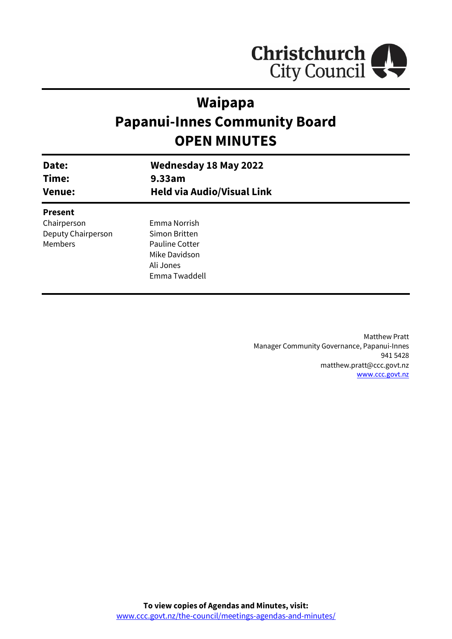

# **Waipapa Papanui-Innes Community Board OPEN MINUTES**

| Date:<br>Time:<br><b>Venue:</b> | <b>Wednesday 18 May 2022</b><br>9.33am<br><b>Held via Audio/Visual Link</b> |  |
|---------------------------------|-----------------------------------------------------------------------------|--|
| <b>Present</b>                  |                                                                             |  |
| Chairperson                     | Emma Norrish                                                                |  |
| Deputy Chairperson              | Simon Britten                                                               |  |
| Members                         | Pauline Cotter                                                              |  |
|                                 | Mike Davidson                                                               |  |
|                                 | Ali Jones                                                                   |  |
|                                 | Emma Twaddell                                                               |  |

Matthew Pratt Manager Community Governance, Papanui-Innes 941 5428 matthew.pratt@ccc.govt.nz [www.ccc.govt.nz](http://www.ccc.govt.nz/)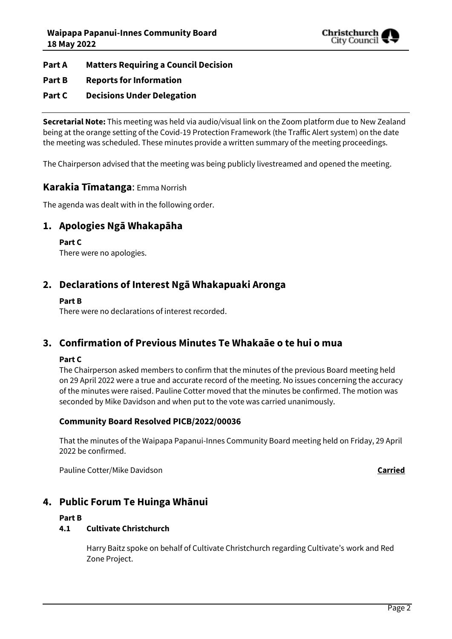

#### **Part A Matters Requiring a Council Decision**

#### **Part B Reports for Information**

#### **Part C Decisions Under Delegation**

**Secretarial Note:** This meeting was held via audio/visual link on the Zoom platform due to New Zealand being at the orange setting of the Covid-19 Protection Framework (the Traffic Alert system) on the date the meeting was scheduled. These minutes provide a written summary of the meeting proceedings.

The Chairperson advised that the meeting was being publicly livestreamed and opened the meeting.

#### **Karakia Tīmatanga**: Emma Norrish

The agenda was dealt with in the following order.

### **1. Apologies Ngā Whakapāha**

#### **Part C**

There were no apologies.

### **2. Declarations of Interest Ngā Whakapuaki Aronga**

#### **Part B**

There were no declarations of interest recorded.

### **3. Confirmation of Previous Minutes Te Whakaāe o te hui o mua**

#### **Part C**

The Chairperson asked members to confirm that the minutes of the previous Board meeting held on 29 April 2022 were a true and accurate record of the meeting. No issues concerning the accuracy of the minutes were raised. Pauline Cotter moved that the minutes be confirmed. The motion was seconded by Mike Davidson and when put to the vote was carried unanimously.

#### **Community Board Resolved PICB/2022/00036**

That the minutes of the Waipapa Papanui-Innes Community Board meeting held on Friday, 29 April 2022 be confirmed.

Pauline Cotter/Mike Davidson **Carried**

### **4. Public Forum Te Huinga Whānui**

#### **Part B**

#### **4.1 Cultivate Christchurch**

Harry Baitz spoke on behalf of Cultivate Christchurch regarding Cultivate's work and Red Zone Project.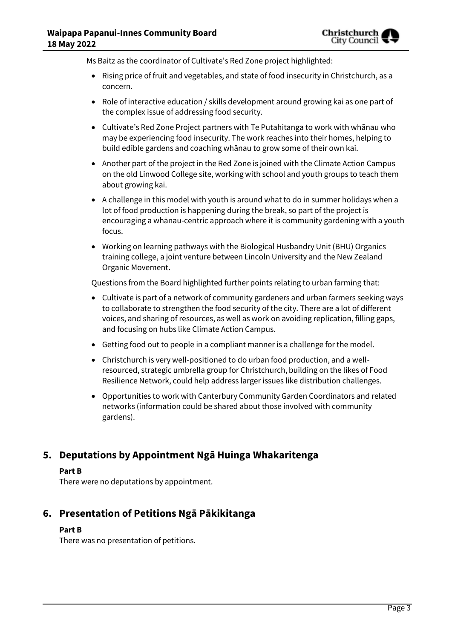Ms Baitz as the coordinator of Cultivate's Red Zone project highlighted:

- Rising price of fruit and vegetables, and state of food insecurity in Christchurch, as a concern.
- Role of interactive education / skills development around growing kai as one part of the complex issue of addressing food security.
- Cultivate's Red Zone Project partners with Te Putahitanga to work with whānau who may be experiencing food insecurity. The work reaches into their homes, helping to build edible gardens and coaching whānau to grow some of their own kai.
- Another part of the project in the Red Zone is joined with the Climate Action Campus on the old Linwood College site, working with school and youth groups to teach them about growing kai.
- A challenge in this model with youth is around what to do in summer holidays when a lot of food production is happening during the break, so part of the project is encouraging a whānau-centric approach where it is community gardening with a youth focus.
- Working on learning pathways with the Biological Husbandry Unit (BHU) Organics training college, a joint venture between Lincoln University and the New Zealand Organic Movement.

Questions from the Board highlighted further points relating to urban farming that:

- Cultivate is part of a network of community gardeners and urban farmers seeking ways to collaborate to strengthen the food security of the city. There are a lot of different voices, and sharing of resources, as well as work on avoiding replication, filling gaps, and focusing on hubs like Climate Action Campus.
- Getting food out to people in a compliant manner is a challenge for the model.
- Christchurch is very well-positioned to do urban food production, and a wellresourced, strategic umbrella group for Christchurch, building on the likes of Food Resilience Network, could help address larger issues like distribution challenges.
- Opportunities to work with Canterbury Community Garden Coordinators and related networks (information could be shared about those involved with community gardens).

## **5. Deputations by Appointment Ngā Huinga Whakaritenga**

#### **Part B**

There were no deputations by appointment.

## **6. Presentation of Petitions Ngā Pākikitanga**

#### **Part B**

There was no presentation of petitions.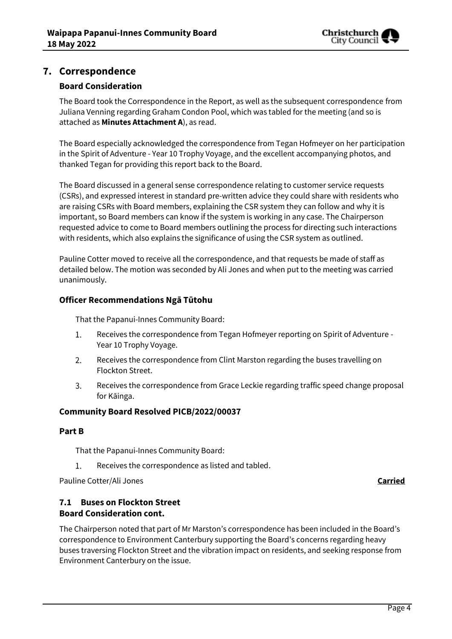

## **7. Correspondence**

#### **Board Consideration**

The Board took the Correspondence in the Report, as well as the subsequent correspondence from Juliana Venning regarding Graham Condon Pool, which was tabled for the meeting (and so is attached as **Minutes Attachment A**), as read.

The Board especially acknowledged the correspondence from Tegan Hofmeyer on her participation in the Spirit of Adventure - Year 10 Trophy Voyage, and the excellent accompanying photos, and thanked Tegan for providing this report back to the Board.

The Board discussed in a general sense correspondence relating to customer service requests (CSRs), and expressed interest in standard pre-written advice they could share with residents who are raising CSRs with Board members, explaining the CSR system they can follow and why it is important, so Board members can know if the system is working in any case. The Chairperson requested advice to come to Board members outlining the process for directing such interactions with residents, which also explains the significance of using the CSR system as outlined.

Pauline Cotter moved to receive all the correspondence, and that requests be made of staff as detailed below. The motion was seconded by Ali Jones and when put to the meeting was carried unanimously.

#### **Officer Recommendations Ngā Tūtohu**

That the Papanui-Innes Community Board:

- 1. Receives the correspondence from Tegan Hofmeyer reporting on Spirit of Adventure - Year 10 Trophy Voyage.
- $2.$ Receives the correspondence from Clint Marston regarding the buses travelling on Flockton Street.
- 3. Receives the correspondence from Grace Leckie regarding traffic speed change proposal for Kāinga.

#### **Community Board Resolved PICB/2022/00037**

#### **Part B**

That the Papanui-Innes Community Board:

1. Receives the correspondence as listed and tabled.

Pauline Cotter/Ali Jones **Carried**

#### **7.1 Buses on Flockton Street Board Consideration cont.**

The Chairperson noted that part of Mr Marston's correspondence has been included in the Board's correspondence to Environment Canterbury supporting the Board's concerns regarding heavy buses traversing Flockton Street and the vibration impact on residents, and seeking response from Environment Canterbury on the issue.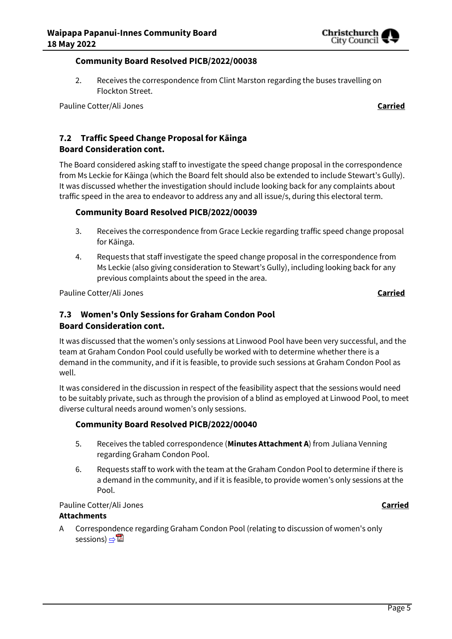

#### **Community Board Resolved PICB/2022/00038**

2. Receives the correspondence from Clint Marston regarding the buses travelling on Flockton Street.

Pauline Cotter/Ali Jones **Carried**

# **7.2 Traffic Speed Change Proposal for Kāinga**

# **Board Consideration cont.**

The Board considered asking staff to investigate the speed change proposal in the correspondence from Ms Leckie for Kāinga (which the Board felt should also be extended to include Stewart's Gully). It was discussed whether the investigation should include looking back for any complaints about traffic speed in the area to endeavor to address any and all issue/s, during this electoral term.

#### **Community Board Resolved PICB/2022/00039**

- 3. Receives the correspondence from Grace Leckie regarding traffic speed change proposal for Kāinga.
- 4. Requests that staff investigate the speed change proposal in the correspondence from Ms Leckie (also giving consideration to Stewart's Gully), including looking back for any previous complaints about the speed in the area.

Pauline Cotter/Ali Jones **Carried**

#### **7.3 Women's Only Sessions for Graham Condon Pool Board Consideration cont.**

It was discussed that the women's only sessions at Linwood Pool have been very successful, and the team at Graham Condon Pool could usefully be worked with to determine whether there is a demand in the community, and if it is feasible, to provide such sessions at Graham Condon Pool as well.

It was considered in the discussion in respect of the feasibility aspect that the sessions would need to be suitably private, such as through the provision of a blind as employed at Linwood Pool, to meet diverse cultural needs around women's only sessions.

#### **Community Board Resolved PICB/2022/00040**

- 5. Receives the tabled correspondence (**Minutes Attachment A**) from Juliana Venning regarding Graham Condon Pool.
- 6. Requests staff to work with the team at the Graham Condon Pool to determine if there is a demand in the community, and if it is feasible, to provide women's only sessions at the Pool.

#### Pauline Cotter/Ali Jones **Carried**

#### **Attachments**

A Correspondence regarding Graham Condon Pool (relating to discussion of women's only sessions) ⇒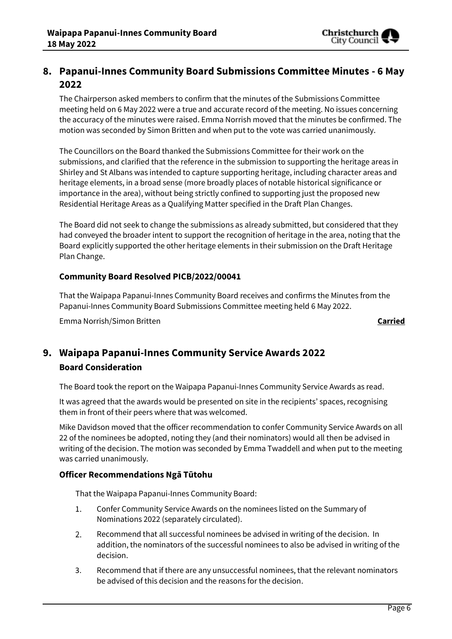

# **8. Papanui-Innes Community Board Submissions Committee Minutes - 6 May 2022**

The Chairperson asked members to confirm that the minutes of the Submissions Committee meeting held on 6 May 2022 were a true and accurate record of the meeting. No issues concerning the accuracy of the minutes were raised. Emma Norrish moved that the minutes be confirmed. The motion was seconded by Simon Britten and when put to the vote was carried unanimously.

The Councillors on the Board thanked the Submissions Committee for their work on the submissions, and clarified that the reference in the submission to supporting the heritage areas in Shirley and St Albans was intended to capture supporting heritage, including character areas and heritage elements, in a broad sense (more broadly places of notable historical significance or importance in the area), without being strictly confined to supporting just the proposed new Residential Heritage Areas as a Qualifying Matter specified in the Draft Plan Changes.

The Board did not seek to change the submissions as already submitted, but considered that they had conveyed the broader intent to support the recognition of heritage in the area, noting that the Board explicitly supported the other heritage elements in their submission on the Draft Heritage Plan Change.

#### **Community Board Resolved PICB/2022/00041**

That the Waipapa Papanui-Innes Community Board receives and confirms the Minutes from the Papanui-Innes Community Board Submissions Committee meeting held 6 May 2022.

Emma Norrish/Simon Britten **Carried**

# **9. Waipapa Papanui-Innes Community Service Awards 2022 Board Consideration**

The Board took the report on the Waipapa Papanui-Innes Community Service Awards as read.

It was agreed that the awards would be presented on site in the recipients' spaces, recognising them in front of their peers where that was welcomed.

Mike Davidson moved that the officer recommendation to confer Community Service Awards on all 22 of the nominees be adopted, noting they (and their nominators) would all then be advised in writing of the decision. The motion was seconded by Emma Twaddell and when put to the meeting was carried unanimously.

#### **Officer Recommendations Ngā Tūtohu**

That the Waipapa Papanui-Innes Community Board:

- 1. Confer Community Service Awards on the nominees listed on the Summary of Nominations 2022 (separately circulated).
- $2.$ Recommend that all successful nominees be advised in writing of the decision. In addition, the nominators of the successful nominees to also be advised in writing of the decision.
- 3. Recommend that if there are any unsuccessful nominees, that the relevant nominators be advised of this decision and the reasons for the decision.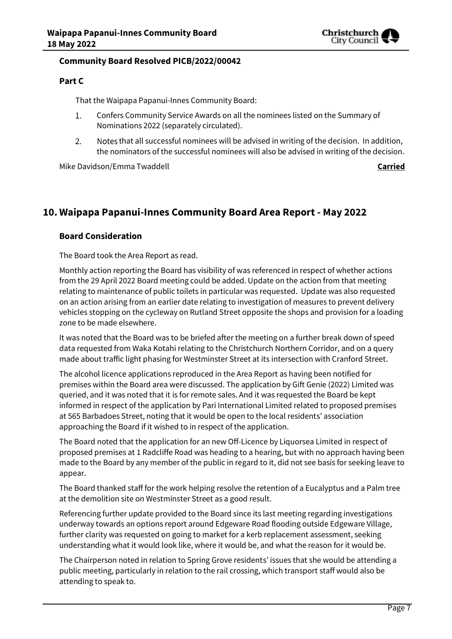

#### **Community Board Resolved PICB/2022/00042**

#### **Part C**

That the Waipapa Papanui-Innes Community Board:

- 1. Confers Community Service Awards on all the nominees listed on the Summary of Nominations 2022 (separately circulated).
- Notes that all successful nominees will be advised in writing of the decision. In addition,  $2.$ the nominators of the successful nominees will also be advised in writing of the decision.

Mike Davidson/Emma Twaddell **Carried**

# **10. Waipapa Papanui-Innes Community Board Area Report - May 2022**

#### **Board Consideration**

The Board took the Area Report as read.

Monthly action reporting the Board has visibility of was referenced in respect of whether actions from the 29 April 2022 Board meeting could be added. Update on the action from that meeting relating to maintenance of public toilets in particular was requested. Update was also requested on an action arising from an earlier date relating to investigation of measures to prevent delivery vehicles stopping on the cycleway on Rutland Street opposite the shops and provision for a loading zone to be made elsewhere.

It was noted that the Board was to be briefed after the meeting on a further break down of speed data requested from Waka Kotahi relating to the Christchurch Northern Corridor, and on a query made about traffic light phasing for Westminster Street at its intersection with Cranford Street.

The alcohol licence applications reproduced in the Area Report as having been notified for premises within the Board area were discussed. The application by Gift Genie (2022) Limited was queried, and it was noted that it is for remote sales. And it was requested the Board be kept informed in respect of the application by Pari International Limited related to proposed premises at 565 Barbadoes Street, noting that it would be open to the local residents' association approaching the Board if it wished to in respect of the application.

The Board noted that the application for an new Off-Licence by Liquorsea Limited in respect of proposed premises at 1 Radcliffe Road was heading to a hearing, but with no approach having been made to the Board by any member of the public in regard to it, did not see basis for seeking leave to appear.

The Board thanked staff for the work helping resolve the retention of a Eucalyptus and a Palm tree at the demolition site on Westminster Street as a good result.

Referencing further update provided to the Board since its last meeting regarding investigations underway towards an options report around Edgeware Road flooding outside Edgeware Village, further clarity was requested on going to market for a kerb replacement assessment, seeking understanding what it would look like, where it would be, and what the reason for it would be.

The Chairperson noted in relation to Spring Grove residents' issues that she would be attending a public meeting, particularly in relation to the rail crossing, which transport staff would also be attending to speak to.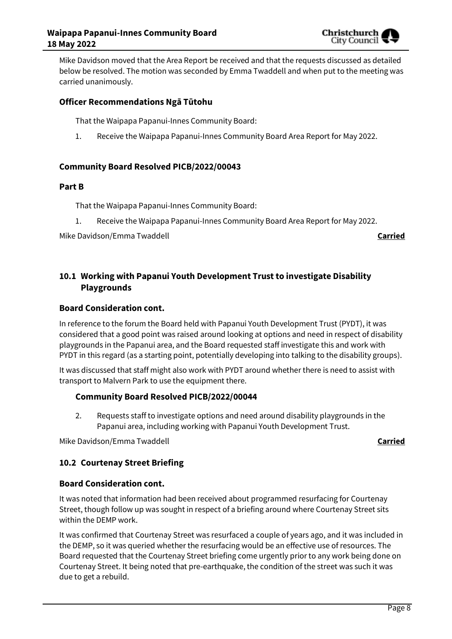

Mike Davidson moved that the Area Report be received and that the requests discussed as detailed below be resolved. The motion was seconded by Emma Twaddell and when put to the meeting was carried unanimously.

#### **Officer Recommendations Ngā Tūtohu**

That the Waipapa Papanui-Innes Community Board:

1. Receive the Waipapa Papanui-Innes Community Board Area Report for May 2022.

#### **Community Board Resolved PICB/2022/00043**

#### **Part B**

That the Waipapa Papanui-Innes Community Board:

1. Receive the Waipapa Papanui-Innes Community Board Area Report for May 2022.

Mike Davidson/Emma Twaddell **Carried**

### **10.1 Working with Papanui Youth Development Trust to investigate Disability Playgrounds**

#### **Board Consideration cont.**

In reference to the forum the Board held with Papanui Youth Development Trust (PYDT), it was considered that a good point was raised around looking at options and need in respect of disability playgrounds in the Papanui area, and the Board requested staff investigate this and work with PYDT in this regard (as a starting point, potentially developing into talking to the disability groups).

It was discussed that staff might also work with PYDT around whether there is need to assist with transport to Malvern Park to use the equipment there.

#### **Community Board Resolved PICB/2022/00044**

2. Requests staff to investigate options and need around disability playgrounds in the Papanui area, including working with Papanui Youth Development Trust.

Mike Davidson/Emma Twaddell **Carried**

#### **10.2 Courtenay Street Briefing**

#### **Board Consideration cont.**

It was noted that information had been received about programmed resurfacing for Courtenay Street, though follow up was sought in respect of a briefing around where Courtenay Street sits within the DEMP work.

It was confirmed that Courtenay Street was resurfaced a couple of years ago, and it was included in the DEMP, so it was queried whether the resurfacing would be an effective use of resources. The Board requested that the Courtenay Street briefing come urgently prior to any work being done on Courtenay Street. It being noted that pre-earthquake, the condition of the street was such it was due to get a rebuild.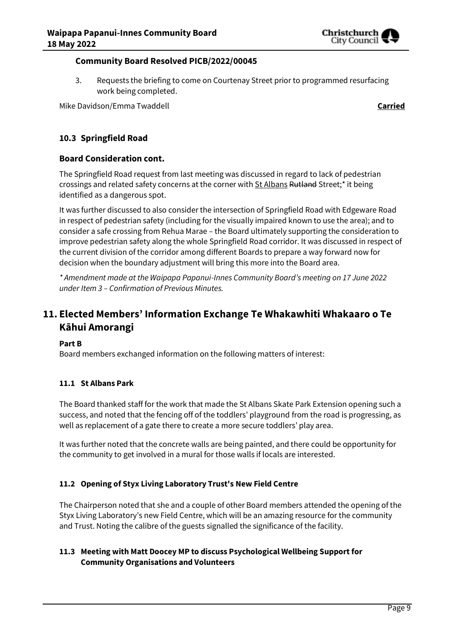

#### **Community Board Resolved PICB/2022/00045**

3. Requests the briefing to come on Courtenay Street prior to programmed resurfacing work being completed.

Mike Davidson/Emma Twaddell **Carried**

#### **10.3 Springfield Road**

#### **Board Consideration cont.**

The Springfield Road request from last meeting was discussed in regard to lack of pedestrian crossings and related safety concerns at the corner with St Albans Rutland Street;<sup>\*</sup> it being identified as a dangerous spot.

It was further discussed to also consider the intersection of Springfield Road with Edgeware Road in respect of pedestrian safety (including for the visually impaired known to use the area); and to consider a safe crossing from Rehua Marae – the Board ultimately supporting the consideration to improve pedestrian safety along the whole Springfield Road corridor. It was discussed in respect of the current division of the corridor among different Boards to prepare a way forward now for decision when the boundary adjustment will bring this more into the Board area.

*\* Amendment made at the Waipapa Papanui-Innes Community Board's meeting on 17 June 2022 under Item 3 – Confirmation of Previous Minutes.*

# **11. Elected Members' Information Exchange Te Whakawhiti Whakaaro o Te Kāhui Amorangi**

#### **Part B**

Board members exchanged information on the following matters of interest:

#### **11.1 St Albans Park**

The Board thanked staff for the work that made the St Albans Skate Park Extension opening such a success, and noted that the fencing off of the toddlers' playground from the road is progressing, as well as replacement of a gate there to create a more secure toddlers' play area.

It was further noted that the concrete walls are being painted, and there could be opportunity for the community to get involved in a mural for those walls if locals are interested.

#### **11.2 Opening of Styx Living Laboratory Trust's New Field Centre**

The Chairperson noted that she and a couple of other Board members attended the opening of the Styx Living Laboratory's new Field Centre, which will be an amazing resource for the community and Trust. Noting the calibre of the guests signalled the significance of the facility.

#### **11.3 Meeting with Matt Doocey MP to discuss Psychological Wellbeing Support for Community Organisations and Volunteers**